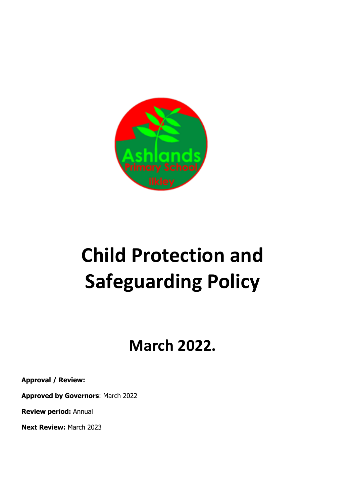

# **Child Protection and Safeguarding Policy**

## **March 2022.**

**Approval / Review:**

**Approved by Governors**: March 2022

**Review period:** Annual

**Next Review:** March 2023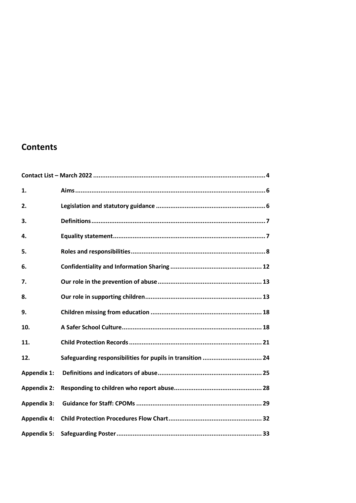## **Contents**

| 1.                 |                                                            |
|--------------------|------------------------------------------------------------|
| 2.                 |                                                            |
| 3.                 |                                                            |
| 4.                 |                                                            |
| 5.                 |                                                            |
| 6.                 |                                                            |
| 7.                 |                                                            |
| 8.                 |                                                            |
| 9.                 |                                                            |
| 10.                |                                                            |
| 11.                |                                                            |
| 12.                | Safeguarding responsibilities for pupils in transition  24 |
| <b>Appendix 1:</b> |                                                            |
| <b>Appendix 2:</b> |                                                            |
| <b>Appendix 3:</b> |                                                            |
| <b>Appendix 4:</b> |                                                            |
| <b>Appendix 5:</b> |                                                            |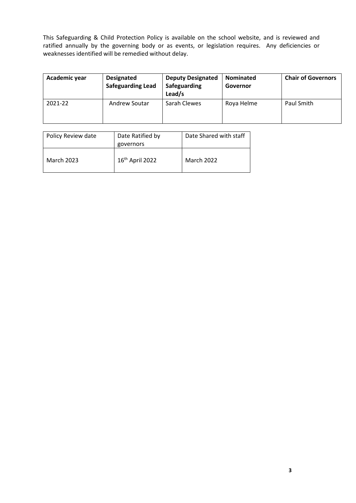This Safeguarding & Child Protection Policy is available on the school website, and is reviewed and ratified annually by the governing body or as events, or legislation requires. Any deficiencies or weaknesses identified will be remedied without delay.

| Academic year | <b>Designated</b><br><b>Safeguarding Lead</b> | <b>Deputy Designated</b><br>Safeguarding<br>Lead/s | <b>Nominated</b><br>Governor | <b>Chair of Governors</b> |
|---------------|-----------------------------------------------|----------------------------------------------------|------------------------------|---------------------------|
| 2021-22       | Andrew Soutar                                 | Sarah Clewes                                       | Roya Helme                   | Paul Smith                |

| Policy Review date | Date Ratified by<br>governors | Date Shared with staff |
|--------------------|-------------------------------|------------------------|
| <b>March 2023</b>  | 16 <sup>th</sup> April 2022   | March 2022             |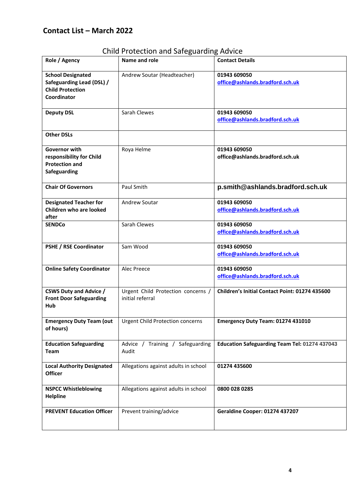## <span id="page-3-0"></span>**Contact List – March 2022**

| Role / Agency                                                                                   | Name and role                                          | <b>Contact Details</b>                          |
|-------------------------------------------------------------------------------------------------|--------------------------------------------------------|-------------------------------------------------|
| <b>School Designated</b><br>Safeguarding Lead (DSL) /<br><b>Child Protection</b><br>Coordinator | Andrew Soutar (Headteacher)                            | 01943 609050<br>office@ashlands.bradford.sch.uk |
| <b>Deputy DSL</b>                                                                               | Sarah Clewes                                           | 01943 609050<br>office@ashlands.bradford.sch.uk |
| <b>Other DSLs</b>                                                                               |                                                        |                                                 |
| Governor with<br>responsibility for Child<br><b>Protection and</b><br>Safeguarding              | Roya Helme                                             | 01943 609050<br>office@ashlands.bradford.sch.uk |
| <b>Chair Of Governors</b>                                                                       | Paul Smith                                             | p.smith@ashlands.bradford.sch.uk                |
| <b>Designated Teacher for</b><br>Children who are looked<br>after                               | Andrew Soutar                                          | 01943 609050<br>office@ashlands.bradford.sch.uk |
| <b>SENDCo</b>                                                                                   | Sarah Clewes                                           | 01943 609050<br>office@ashlands.bradford.sch.uk |
| <b>PSHE / RSE Coordinator</b>                                                                   | Sam Wood                                               | 01943 609050<br>office@ashlands.bradford.sch.uk |
| <b>Online Safety Coordinator</b>                                                                | Alec Preece                                            | 01943 609050<br>office@ashlands.bradford.sch.uk |
| <b>CSWS Duty and Advice /</b><br><b>Front Door Safeguarding</b><br>Hub                          | Urgent Child Protection concerns /<br>initial referral | Children's Initial Contact Point: 01274 435600  |
| <b>Emergency Duty Team (out</b><br>of hours)                                                    | <b>Urgent Child Protection concerns</b>                | Emergency Duty Team: 01274 431010               |
| <b>Education Safeguarding</b><br><b>Team</b>                                                    | Advice / Training / Safeguarding<br>Audit              | Education Safeguarding Team Tel: 01274 437043   |
| <b>Local Authority Designated</b><br><b>Officer</b>                                             | Allegations against adults in school                   | 01274 435600                                    |
| <b>NSPCC Whistleblowing</b><br><b>Helpline</b>                                                  | Allegations against adults in school                   | 0800 028 0285                                   |
| <b>PREVENT Education Officer</b>                                                                | Prevent training/advice                                | <b>Geraldine Cooper: 01274 437207</b>           |

Child Protection and Safeguarding Advice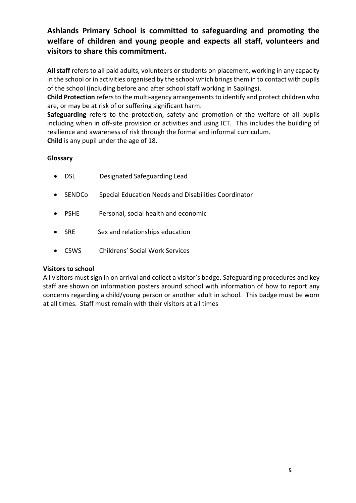## **Ashlands Primary School is committed to safeguarding and promoting the welfare of children and young people and expects all staff, volunteers and visitors to share this commitment.**

**All staff** refers to all paid adults, volunteers or students on placement, working in any capacity in the school or in activities organised by the school which brings them in to contact with pupils of the school (including before and after school staff working in Saplings).

**Child Protection** refers to the multi-agency arrangements to identify and protect children who are, or may be at risk of or suffering significant harm.

**Safeguarding** refers to the protection, safety and promotion of the welfare of all pupils including when in off-site provision or activities and using ICT. This includes the building of resilience and awareness of risk through the formal and informal curriculum. **Child** is any pupil under the age of 18.

#### **Glossary**

- DSL Designated Safeguarding Lead
- SENDCo Special Education Needs and Disabilities Coordinator
- PSHE Personal, social health and economic
- SRE Sex and relationships education
- CSWS Childrens' Social Work Services

#### **Visitors to school**

All visitors must sign in on arrival and collect a visitor's badge. Safeguarding procedures and key staff are shown on information posters around school with information of how to report any concerns regarding a child/young person or another adult in school. This badge must be worn at all times. Staff must remain with their visitors at all times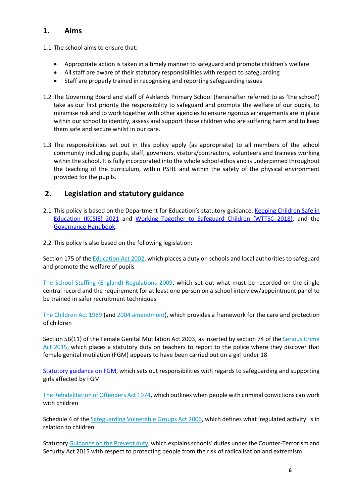### <span id="page-5-0"></span>**1. Aims**

1.1 The school aims to ensure that:

- Appropriate action is taken in a timely manner to safeguard and promote children's welfare
- All staff are aware of their statutory responsibilities with respect to safeguarding
- Staff are properly trained in recognising and reporting safeguarding issues
- 1.2 The Governing Board and staff of Ashlands Primary School (hereinafter referred to as 'the school') take as our first priority the responsibility to safeguard and promote the welfare of our pupils, to minimise risk and to work together with other agencies to ensure rigorous arrangements are in place within our school to identify, assess and support those children who are suffering harm and to keep them safe and secure whilst in our care.
- 1.3 The responsibilities set out in this policy apply (as appropriate) to all members of the school community including pupils, staff, governors, visitors/contractors, volunteers and trainees working within the school. It is fully incorporated into the whole school ethos and is underpinned throughout the teaching of the curriculum, within PSHE and within the safety of the physical environment provided for the pupils.

## <span id="page-5-1"></span>**2. Legislation and statutory guidance**

- 2.1 This policy is based on the Department for Education's statutory guidance, Keeping Children Safe in [Education \(KCSIE\)](https://www.gov.uk/government/publications/keeping-children-safe-in-education--2) 2021 and [Working Together to Safeguard Children \(WTTSC 2018\),](https://www.gov.uk/government/publications/working-together-to-safeguard-children--2) and the [Governance Handbook.](https://www.gov.uk/government/publications/governance-handbook)
- 2.2 This policy is also based on the following legislation:

Section 175 of the [Education Act 2002,](http://www.legislation.gov.uk/ukpga/2002/32/section/175) which places a duty on schools and local authorities to safeguard and promote the welfare of pupils

[The School Staffing \(England\) Regulations 2009,](http://www.legislation.gov.uk/uksi/2009/2680/contents/made) which set out what must be recorded on the single central record and the requirement for at least one person on a school interview/appointment panel to be trained in safer recruitment techniques

[The Children Act 1989](http://www.legislation.gov.uk/ukpga/1989/41) (and [2004 amendment\)](http://www.legislation.gov.uk/ukpga/2004/31/contents), which provides a framework for the care and protection of children

Section 5B(11) of the Female Genital Mutilation Act 2003, as inserted by section 74 of the [Serious Crime](http://www.legislation.gov.uk/ukpga/2015/9/part/5/crossheading/female-genital-mutilation)  [Act 2015,](http://www.legislation.gov.uk/ukpga/2015/9/part/5/crossheading/female-genital-mutilation) which places a statutory duty on teachers to report to the police where they discover that female genital mutilation (FGM) appears to have been carried out on a girl under 18

[Statutory guidance on FGM,](https://www.gov.uk/government/publications/multi-agency-statutory-guidance-on-female-genital-mutilation) which sets out responsibilities with regards to safeguarding and supporting girls affected by FGM

[The Rehabilitation of Offenders Act 1974,](http://www.legislation.gov.uk/ukpga/1974/53) which outlines when people with criminal convictions can work with children

Schedule 4 of th[e Safeguarding Vulnerable Groups Act 2006](http://www.legislation.gov.uk/ukpga/2006/47/schedule/4), which defines what 'regulated activity' is in relation to children

Statutory [Guidance on the Prevent duty](https://www.gov.uk/government/publications/prevent-duty-guidance), which explains schools' duties under the Counter-Terrorism and Security Act 2015 with respect to protecting people from the risk of radicalisation and extremism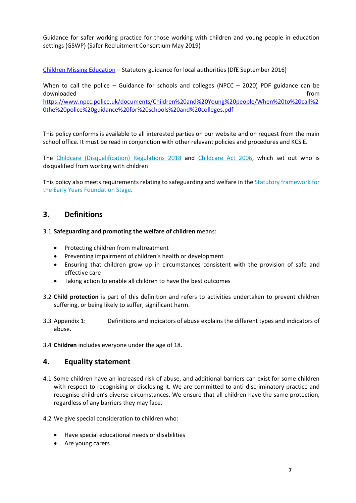Guidance for safer working practice for those working with children and young people in education settings (GSWP) (Safer Recruitment Consortium May 2019)

[Children Missing Education](https://www.gov.uk/government/publications/children-missing-education) – Statutory guidance for local authorities (DfE September 2016)

When to call the police – Guidance for schools and colleges (NPCC – 2020) PDF guidance can be downloaded **from** [https://www.npcc.police.uk/documents/Children%20and%20Young%20people/When%20to%20call%2](https://www.npcc.police.uk/documents/Children%20and%20Young%20people/When%20to%20call%20the%20police%20guidance%20for%20schools%20and%20colleges.pdf) [0the%20police%20guidance%20for%20schools%20and%20colleges.pdf](https://www.npcc.police.uk/documents/Children%20and%20Young%20people/When%20to%20call%20the%20police%20guidance%20for%20schools%20and%20colleges.pdf)

This policy conforms is available to all interested parties on our website and on request from the main school office. It must be read in conjunction with other relevant policies and procedures and KCSiE.

The Childcare (Disqualification) Regulations 2018 and [Childcare Act 2006,](http://www.legislation.gov.uk/ukpga/2006/21/contents) which set out who is disqualified from working with children

This policy also meets requirements relating to safeguarding and welfare in the **Statutory framework for** [the Early Years Foundation Stage.](https://www.gov.uk/government/publications/early-years-foundation-stage-framework--2)

#### <span id="page-6-0"></span>**3. Definitions**

3.1 **Safeguarding and promoting the welfare of children** means:

- Protecting children from maltreatment
- Preventing impairment of children's health or development
- Ensuring that children grow up in circumstances consistent with the provision of safe and effective care
- Taking action to enable all children to have the best outcomes
- 3.2 **Child protection** is part of this definition and refers to activities undertaken to prevent children suffering, or being likely to suffer, significant harm.
- 3.3 Appendix 1: [Definitions and indicators of abuse](#page-24-0) explains the different types and indicators of abuse.
- <span id="page-6-1"></span>3.4 **Children** includes everyone under the age of 18.

#### **4. Equality statement**

- 4.1 Some children have an increased risk of abuse, and additional barriers can exist for some children with respect to recognising or disclosing it. We are committed to anti-discriminatory practice and recognise children's diverse circumstances. We ensure that all children have the same protection, regardless of any barriers they may face.
- 4.2 We give special consideration to children who:
	- Have special educational needs or disabilities
	- Are young carers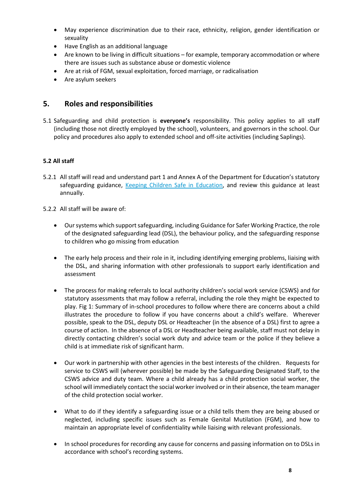- May experience discrimination due to their race, ethnicity, religion, gender identification or sexuality
- Have English as an additional language
- Are known to be living in difficult situations for example, temporary accommodation or where there are issues such as substance abuse or domestic violence
- Are at risk of FGM, sexual exploitation, forced marriage, or radicalisation
- Are asylum seekers

## <span id="page-7-0"></span>**5. Roles and responsibilities**

5.1 Safeguarding and child protection is **everyone's** responsibility. This policy applies to all staff (including those not directly employed by the school), volunteers, and governors in the school. Our policy and procedures also apply to extended school and off-site activities (including Saplings).

#### **5.2 All staff**

5.2.1 All staff will read and understand part 1 and Annex A of the Department for Education's statutory safeguarding guidance, [Keeping Children Safe in Education,](https://www.gov.uk/government/publications/keeping-children-safe-in-education--2) and review this guidance at least annually.

5.2.2 All staff will be aware of:

- Our systems which support safeguarding, including Guidance for Safer Working Practice, the role of the designated safeguarding lead (DSL), the behaviour policy, and the safeguarding response to children who go missing from education
- The early help process and their role in it, including identifying emerging problems, liaising with the DSL, and sharing information with other professionals to support early identification and assessment
- The process for making referrals to local authority children's social work service (CSWS) and for statutory assessments that may follow a referral, including the role they might be expected to play. Fig 1: Summary of in-school procedures to follow where there are concerns about a child illustrates the procedure to follow if you have concerns about a child's welfare. Wherever possible, speak to the DSL, deputy DSL or Headteacher (in the absence of a DSL) first to agree a course of action. In the absence of a DSL or Headteacher being available, staff must not delay in directly contacting children's social work duty and advice team or the police if they believe a child is at immediate risk of significant harm.
- Our work in partnership with other agencies in the best interests of the children. Requests for service to CSWS will (wherever possible) be made by the Safeguarding Designated Staff, to the CSWS advice and duty team. Where a child already has a child protection social worker, the school will immediately contact the social worker involved or in their absence, the team manager of the child protection social worker.
- What to do if they identify a safeguarding issue or a child tells them they are being abused or neglected, including specific issues such as Female Genital Mutilation (FGM), and how to maintain an appropriate level of confidentiality while liaising with relevant professionals.
- In school procedures for recording any cause for concerns and passing information on to DSLs in accordance with school's recording systems.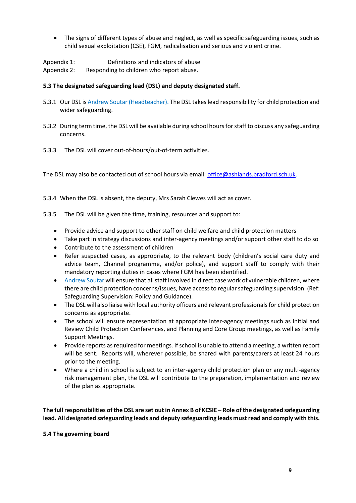• The signs of different types of abuse and neglect, as well as specific safeguarding issues, such as child sexual exploitation (CSE), FGM, radicalisation and serious and violent crime.

Appendix 1: [Definitions and indicators of abuse](#page-24-0) Appendix 2: [Responding to children who report abuse.](#page-27-0)

#### **5.3 The designated safeguarding lead (DSL) and deputy designated staff.**

- 5.3.1 Our DSL is Andrew Soutar (Headteacher). The DSL takes lead responsibility for child protection and wider safeguarding.
- 5.3.2 During term time, the DSL will be available during school hours for staff to discuss any safeguarding concerns.
- 5.3.3 The DSL will cover out-of-hours/out-of-term activities.

The DSL may also be contacted out of school hours via email: [office@ashlands.bradford.sch.uk.](mailto:office@ashlands.bradford.sch.uk)

- 5.3.4 When the DSL is absent, the deputy, Mrs Sarah Clewes will act as cover.
- 5.3.5 The DSL will be given the time, training, resources and support to:
	- Provide advice and support to other staff on child welfare and child protection matters
	- Take part in strategy discussions and inter-agency meetings and/or support other staff to do so
	- Contribute to the assessment of children
	- Refer suspected cases, as appropriate, to the relevant body (children's social care duty and advice team, Channel programme, and/or police), and support staff to comply with their mandatory reporting duties in cases where FGM has been identified.
	- Andrew Soutar will ensure that all staff involved in direct case work of vulnerable children, where there are child protection concerns/issues, have access to regular safeguarding supervision. (Ref: Safeguarding Supervision: Policy and Guidance).
	- The DSL will also liaise with local authority officers and relevant professionals for child protection concerns as appropriate.
	- The school will ensure representation at appropriate inter-agency meetings such as Initial and Review Child Protection Conferences, and Planning and Core Group meetings, as well as Family Support Meetings.
	- Provide reports as required for meetings. If school is unable to attend a meeting, a written report will be sent. Reports will, wherever possible, be shared with parents/carers at least 24 hours prior to the meeting.
	- Where a child in school is subject to an inter-agency child protection plan or any multi-agency risk management plan, the DSL will contribute to the preparation, implementation and review of the plan as appropriate.

**The full responsibilities of the DSL are set out in Annex B of KCSIE – Role of the designated safeguarding lead. All designated safeguarding leads and deputy safeguarding leads must read and comply with this.**

#### **5.4 The governing board**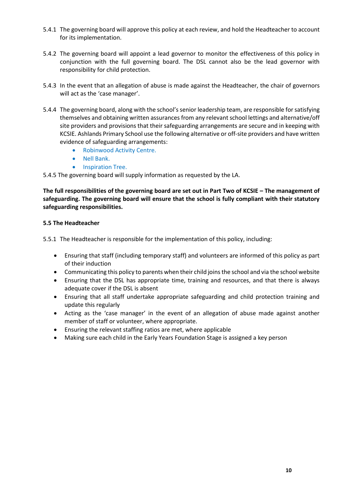- 5.4.1 The governing board will approve this policy at each review, and hold the Headteacher to account for its implementation.
- 5.4.2 The governing board will appoint a lead governor to monitor the effectiveness of this policy in conjunction with the full governing board. The DSL cannot also be the lead governor with responsibility for child protection.
- 5.4.3 In the event that an allegation of abuse is made against the Headteacher, the chair of governors will act as the 'case manager'.
- 5.4.4 The governing board, along with the school's senior leadership team, are responsible for satisfying themselves and obtaining written assurances from any relevant school lettings and alternative/off site providers and provisions that their safeguarding arrangements are secure and in keeping with KCSIE. Ashlands Primary School use the following alternative or off-site providers and have written evidence of safeguarding arrangements:
	- Robinwood Activity Centre.
	- Nell Bank.
	- Inspiration Tree.

5.4.5 The governing board will supply information as requested by the LA.

**The full responsibilities of the governing board are set out in Part Two of KCSIE – The management of safeguarding. The governing board will ensure that the school is fully compliant with their statutory safeguarding responsibilities.**

#### **5.5 The Headteacher**

5.5.1 The Headteacher is responsible for the implementation of this policy, including:

- Ensuring that staff (including temporary staff) and volunteers are informed of this policy as part of their induction
- Communicating this policy to parents when their child joins the school and via the school website
- Ensuring that the DSL has appropriate time, training and resources, and that there is always adequate cover if the DSL is absent
- Ensuring that all staff undertake appropriate safeguarding and child protection training and update this regularly
- Acting as the 'case manager' in the event of an allegation of abuse made against another member of staff or volunteer, where appropriate.
- Ensuring the relevant staffing ratios are met, where applicable
- Making sure each child in the Early Years Foundation Stage is assigned a key person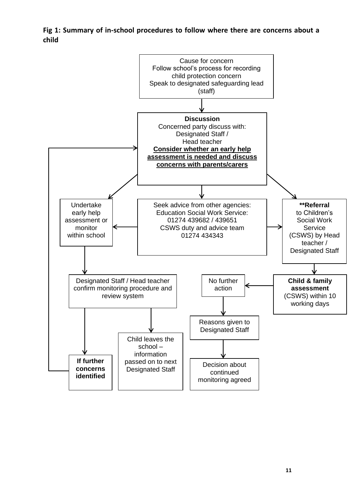<span id="page-10-0"></span>**Fig 1: Summary of in-school procedures to follow where there are concerns about a child** 

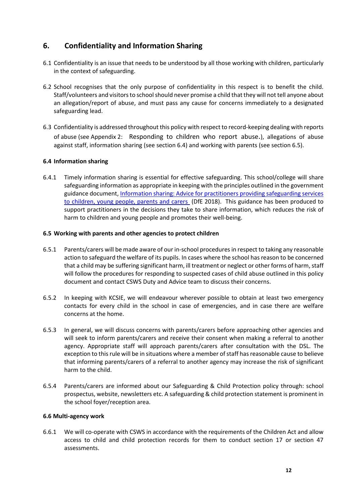## <span id="page-11-0"></span>**6. Confidentiality and Information Sharing**

- 6.1 Confidentiality is an issue that needs to be understood by all those working with children, particularly in the context of safeguarding.
- 6.2 School recognises that the only purpose of confidentiality in this respect is to benefit the child. Staff/volunteers and visitors to school should never promise a child that they will not tell anyone about an allegation/report of abuse, and must pass any cause for concerns immediately to a designated safeguarding lead.
- 6.3 Confidentiality is addressed throughout this policy with respect to record-keeping dealing with reports of abuse (see Appendix 2: [Responding to children who report](#page-27-0) abuse[.](#page-27-0)), allegations of abuse against staff, information sharing (see section [6.4\)](#page-11-1) and working with parents (see sectio[n 6.5\)](#page-11-2).

#### <span id="page-11-1"></span>**6.4 Information sharing**

6.4.1 Timely information sharing is essential for effective safeguarding. This school/college will share safeguarding information as appropriate in keeping with the principles outlined in the government guidance document, [Information sharing: Advice for practitioners providing safeguarding services](https://www.gov.uk/government/publications/safeguarding-practitioners-information-sharing-advice)  [to children, young people, parents and carers](https://www.gov.uk/government/publications/safeguarding-practitioners-information-sharing-advice) (DfE 2018). This guidance has been produced to support practitioners in the decisions they take to share information, which reduces the risk of harm to children and young people and promotes their well-being.

#### <span id="page-11-2"></span>**6.5 Working with parents and other agencies to protect children**

- 6.5.1 Parents/carers will be made aware of our in-school proceduresin respect to taking any reasonable action to safeguard the welfare of its pupils. In cases where the school has reason to be concerned that a child may be suffering significant harm, ill treatment or neglect or other forms of harm, staff will follow the procedures for responding to suspected cases of child abuse outlined in this policy document and contact CSWS Duty and Advice team to discuss their concerns.
- 6.5.2 In keeping with KCSIE, we will endeavour wherever possible to obtain at least two emergency contacts for every child in the school in case of emergencies, and in case there are welfare concerns at the home.
- 6.5.3 In general, we will discuss concerns with parents/carers before approaching other agencies and will seek to inform parents/carers and receive their consent when making a referral to another agency. Appropriate staff will approach parents/carers after consultation with the DSL. The exception to this rule will be in situations where a member of staff has reasonable cause to believe that informing parents/carers of a referral to another agency may increase the risk of significant harm to the child.
- 6.5.4 Parents/carers are informed about our Safeguarding & Child Protection policy through: school prospectus, website, newsletters etc. A safeguarding & child protection statement is prominent in the school foyer/reception area.

#### **6.6 Multi-agency work**

6.6.1 We will co-operate with CSWS in accordance with the requirements of the Children Act and allow access to child and child protection records for them to conduct section 17 or section 47 assessments.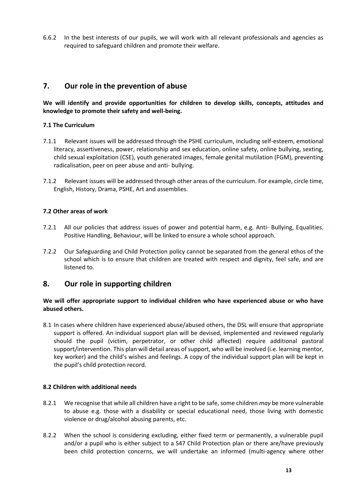6.6.2 In the best interests of our pupils, we will work with all relevant professionals and agencies as required to safeguard children and promote their welfare.

## <span id="page-12-0"></span>**7. Our role in the prevention of abuse**

**We will identify and provide opportunities for children to develop skills, concepts, attitudes and knowledge to promote their safety and well-being.**

#### **7.1 The Curriculum**

- 7.1.1 Relevant issues will be addressed through the PSHE curriculum, including self-esteem, emotional literacy, assertiveness, power, relationship and sex education, online safety, online bullying, sexting, child sexual exploitation (CSE), youth generated images, female genital mutilation (FGM), preventing radicalisation, peer on peer abuse and anti- bullying.
- 7.1.2 Relevant issues will be addressed through other areas of the curriculum. For example, circle time, English, History, Drama, PSHE, Art and assemblies.

#### **7.2 Other areas of work**

- 7.2.1 All our policies that address issues of power and potential harm, e.g. Anti- Bullying, Equalities, Positive Handling, Behaviour, will be linked to ensure a whole school approach.
- 7.2.2 Our Safeguarding and Child Protection policy cannot be separated from the general ethos of the school which is to ensure that children are treated with respect and dignity, feel safe, and are listened to.

#### <span id="page-12-1"></span>**8. Our role in supporting children**

#### **We will offer appropriate support to individual children who have experienced abuse or who have abused others.**

8.1 In cases where children have experienced abuse/abused others, the DSL will ensure that appropriate support is offered. An individual support plan will be devised, implemented and reviewed regularly should the pupil (victim, perpetrator, or other child affected) require additional pastoral support/intervention. This plan will detail areas of support, who will be involved (i.e. learning mentor, key worker) and the child's wishes and feelings. A copy of the individual support plan will be kept in the pupil's child protection record.

#### **8.2 Children with additional needs**

- 8.2.1 We recognise that while all children have a right to be safe, some children *may* be more vulnerable to abuse e.g. those with a disability or special educational need, those living with domestic violence or drug/alcohol abusing parents, etc.
- 8.2.2 When the school is considering excluding, either fixed term or permanently, a vulnerable pupil and/or a pupil who is either subject to a S47 Child Protection plan or there are/have previously been child protection concerns, we will undertake an informed (multi-agency where other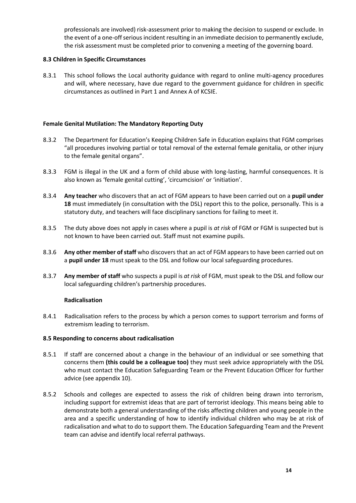professionals are involved) risk-assessment prior to making the decision to suspend or exclude. In the event of a one-off serious incident resulting in an immediate decision to permanently exclude, the risk assessment must be completed prior to convening a meeting of the governing board.

#### **8.3 Children in Specific Circumstances**

8.3.1 This school follows the Local authority guidance with regard to online multi-agency procedures and will, where necessary, have due regard to the government guidance for children in specific circumstances as outlined in Part 1 and Annex A of KCSIE.

#### **Female Genital Mutilation: The Mandatory Reporting Duty**

- 8.3.2 The Department for Education's Keeping Children Safe in Education explains that FGM comprises "all procedures involving partial or total removal of the external female genitalia, or other injury to the female genital organs".
- 8.3.3 FGM is illegal in the UK and a form of child abuse with long-lasting, harmful consequences. It is also known as 'female genital cutting', 'circumcision' or 'initiation'.
- 8.3.4 **Any teacher** who discovers that an act of FGM appears to have been carried out on a **pupil under 18** must immediately (in consultation with the DSL) report this to the police, personally. This is a statutory duty, and teachers will face disciplinary sanctions for failing to meet it.
- 8.3.5 The duty above does not apply in cases where a pupil is *at risk* of FGM or FGM is suspected but is not known to have been carried out. Staff must not examine pupils.
- 8.3.6 **Any other member of staff** who discovers that an act of FGM appears to have been carried out on a **pupil under 18** must speak to the DSL and follow our local safeguarding procedures.
- 8.3.7 **Any member of staff** who suspects a pupil is *at risk* of FGM, must speak to the DSL and follow our local safeguarding [children's partnership](https://www.leedsscp.org.uk/LSCB/media/Images/pdfs/Female-Genital-Mutilation-workflow-2016.pdf) procedures.

#### **Radicalisation**

8.4.1 Radicalisation refers to the process by which a person comes to support terrorism and forms of extremism leading to terrorism.

#### **8.5 Responding to concerns about radicalisation**

- 8.5.1 If staff are concerned about a change in the behaviour of an individual or see something that concerns them **(this could be a colleague too)** they must seek advice appropriately with the DSL who must contact the Education Safeguarding Team or the Prevent Education Officer for further advice (see appendix 10).
- 8.5.2 Schools and colleges are expected to assess the risk of children being drawn into terrorism, including support for extremist ideas that are part of terrorist ideology. This means being able to demonstrate both a general understanding of the risks affecting children and young people in the area and a specific understanding of how to identify individual children who may be at risk of radicalisation and what to do to support them. The Education Safeguarding Team and the Prevent team can advise and identify local referral pathways.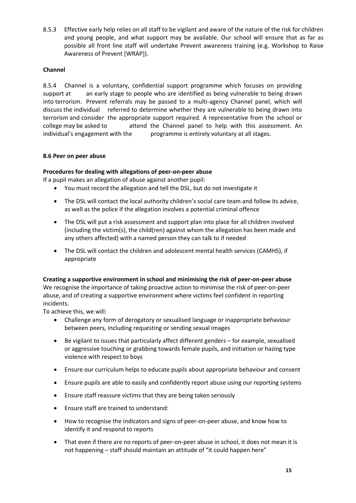8.5.3 Effective early help relies on all staff to be vigilant and aware of the nature of the risk for children and young people, and what support may be available. Our school will ensure that as far as possible all front line staff will undertake Prevent awareness training (e.g. Workshop to Raise Awareness of Prevent [WRAP]).

#### **Channel**

8.5.4 Channel is a voluntary, confidential support programme which focuses on providing support at an early stage to people who are identified as being vulnerable to being drawn into terrorism. Prevent referrals may be passed to a multi-agency Channel panel, which will discuss the individual referred to determine whether they are vulnerable to being drawn into terrorism and consider the appropriate support required. A representative from the school or college may be asked to attend the Channel panel to help with this assessment. An individual's engagement with the programme is entirely voluntary at all stages.

#### **8.6 Peer on peer abuse**

#### **Procedures for dealing with allegations of peer-on-peer abuse**

If a pupil makes an allegation of abuse against another pupil:

- You must record the allegation and tell the DSL, but do not investigate it
- The DSL will contact the local authority children's social care team and follow its advice, as well as the police if the allegation involves a potential criminal offence
- The DSL will put a risk assessment and support plan into place for all children involved (including the victim(s), the child(ren) against whom the allegation has been made and any others affected) with a named person they can talk to if needed
- The DSL will contact the children and adolescent mental health services (CAMHS), if appropriate

**Creating a supportive environment in school and minimising the risk of peer-on-peer abuse**  We recognise the importance of taking proactive action to minimise the risk of peer-on-peer abuse, and of creating a supportive environment where victims feel confident in reporting incidents.

To achieve this, we will:

- Challenge any form of derogatory or sexualised language or inappropriate behaviour between peers, including requesting or sending sexual images
- Be vigilant to issues that particularly affect different genders for example, sexualised or aggressive touching or grabbing towards female pupils, and initiation or hazing type violence with respect to boys
- Ensure our curriculum helps to educate pupils about appropriate behaviour and consent
- Ensure pupils are able to easily and confidently report abuse using our reporting systems
- Ensure staff reassure victims that they are being taken seriously
- Ensure staff are trained to understand:
- How to recognise the indicators and signs of peer-on-peer abuse, and know how to identify it and respond to reports
- That even if there are no reports of peer-on-peer abuse in school, it does not mean it is not happening – staff should maintain an attitude of "it could happen here"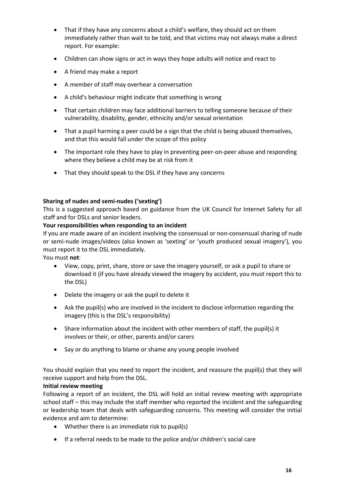- That if they have any concerns about a child's welfare, they should act on them immediately rather than wait to be told, and that victims may not always make a direct report. For example:
- Children can show signs or act in ways they hope adults will notice and react to
- A friend may make a report
- A member of staff may overhear a conversation
- A child's behaviour might indicate that something is wrong
- That certain children may face additional barriers to telling someone because of their vulnerability, disability, gender, ethnicity and/or sexual orientation
- That a pupil harming a peer could be a sign that the child is being abused themselves, and that this would fall under the scope of this policy
- The important role they have to play in preventing peer-on-peer abuse and responding where they believe a child may be at risk from it
- That they should speak to the DSL if they have any concerns

#### **Sharing of nudes and semi-nudes ('sexting')**

This is a suggested approach based on guidance from the UK Council for Internet Safety for all staff and for DSLs and senior leaders.

#### **Your responsibilities when responding to an incident**

If you are made aware of an incident involving the consensual or non-consensual sharing of nude or semi-nude images/videos (also known as 'sexting' or 'youth produced sexual imagery'), you must report it to the DSL immediately.

You must **not**:

- View, copy, print, share, store or save the imagery yourself, or ask a pupil to share or download it (if you have already viewed the imagery by accident, you must report this to the DSL)
- Delete the imagery or ask the pupil to delete it
- Ask the pupil(s) who are involved in the incident to disclose information regarding the imagery (this is the DSL's responsibility)
- Share information about the incident with other members of staff, the pupil(s) it involves or their, or other, parents and/or carers
- Say or do anything to blame or shame any young people involved

You should explain that you need to report the incident, and reassure the pupil(s) that they will receive support and help from the DSL.

#### **Initial review meeting**

Following a report of an incident, the DSL will hold an initial review meeting with appropriate school staff – this may include the staff member who reported the incident and the safeguarding or leadership team that deals with safeguarding concerns. This meeting will consider the initial evidence and aim to determine:

- Whether there is an immediate risk to pupil(s)
- If a referral needs to be made to the police and/or children's social care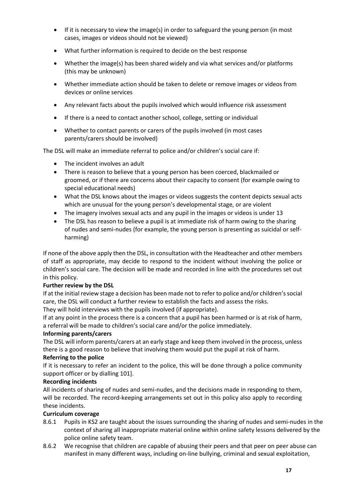- If it is necessary to view the image(s) in order to safeguard the young person (in most cases, images or videos should not be viewed)
- What further information is required to decide on the best response
- Whether the image(s) has been shared widely and via what services and/or platforms (this may be unknown)
- Whether immediate action should be taken to delete or remove images or videos from devices or online services
- Any relevant facts about the pupils involved which would influence risk assessment
- If there is a need to contact another school, college, setting or individual
- Whether to contact parents or carers of the pupils involved (in most cases parents/carers should be involved)

The DSL will make an immediate referral to police and/or children's social care if:

- The incident involves an adult
- There is reason to believe that a young person has been coerced, blackmailed or groomed, or if there are concerns about their capacity to consent (for example owing to special educational needs)
- What the DSL knows about the images or videos suggests the content depicts sexual acts which are unusual for the young person's developmental stage, or are violent
- The imagery involves sexual acts and any pupil in the images or videos is under 13
- The DSL has reason to believe a pupil is at immediate risk of harm owing to the sharing of nudes and semi-nudes (for example, the young person is presenting as suicidal or selfharming)

If none of the above apply then the DSL, in consultation with the Headteacher and other members of staff as appropriate, may decide to respond to the incident without involving the police or children's social care. The decision will be made and recorded in line with the procedures set out in this policy.

#### **Further review by the DSL**

If at the initial review stage a decision has been made not to refer to police and/or children's social care, the DSL will conduct a further review to establish the facts and assess the risks. They will hold interviews with the pupils involved (if appropriate).

If at any point in the process there is a concern that a pupil has been harmed or is at risk of harm, a referral will be made to children's social care and/or the police immediately.

#### **Informing parents/carers**

The DSL will inform parents/carers at an early stage and keep them involved in the process, unless there is a good reason to believe that involving them would put the pupil at risk of harm.

#### **Referring to the police**

If it is necessary to refer an incident to the police, this will be done through a police community support officer or by dialling 101].

#### **Recording incidents**

All incidents of sharing of nudes and semi-nudes, and the decisions made in responding to them, will be recorded. The record-keeping arrangements set out in this policy also apply to recording these incidents.

#### **Curriculum coverage**

- 8.6.1 Pupils in KS2 are taught about the issues surrounding the sharing of nudes and semi-nudes in the context of sharing all inappropriate material online within online safety lessons delivered by the police online safety team.
- 8.6.2 We recognise that children are capable of abusing their peers and that peer on peer abuse can manifest in many different ways, including on-line bullying, criminal and sexual exploitation,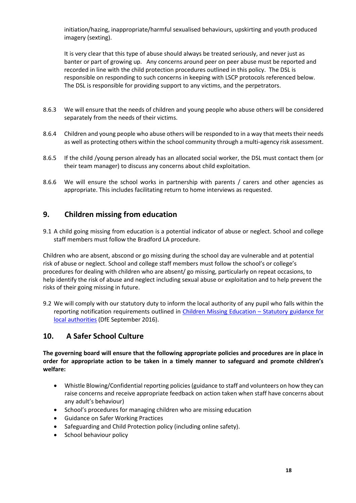initiation/hazing, inappropriate/harmful sexualised behaviours, upskirting and youth produced imagery (sexting).

It is very clear that this type of abuse should always be treated seriously, and never just as banter or part of growing up. Any concerns around peer on peer abuse must be reported and recorded in line with the child protection procedures outlined in this policy. The DSL is responsible on responding to such concerns in keeping with LSCP protocols referenced below. The DSL is responsible for providing support to any victims, and the perpetrators.

- 8.6.3 We will ensure that the needs of children and young people who abuse others will be considered separately from the needs of their victims.
- 8.6.4 Children and young people who abuse others will be responded to in a way that meets their needs as well as protecting others within the school community through a multi-agency risk assessment.
- 8.6.5 If the child /young person already has an allocated social worker, the DSL must contact them (or their team manager) to discuss any concerns about child exploitation.
- 8.6.6 We will ensure the school works in partnership with parents / carers and other agencies as appropriate. This includes facilitating return to home interviews as requested.

## <span id="page-17-0"></span>**9. Children missing from education**

9.1 A child going missing from education is a potential indicator of abuse or neglect. School and college staff members must follow the Bradford LA procedure.

Children who are absent, abscond or go missing during the school day are vulnerable and at potential risk of abuse or neglect. School and college staff members must follow the school's or college's procedures for dealing with children who are absent/ go missing, particularly on repeat occasions, to help identify the risk of abuse and neglect including sexual abuse or exploitation and to help prevent the risks of their going missing in future.

9.2 We will comply with our statutory duty to inform the local authority of any pupil who falls within the reporting notification requirements outlined in [Children Missing Education](https://www.gov.uk/government/publications/children-missing-education) - Statutory guidance for [local authorities](https://www.gov.uk/government/publications/children-missing-education) (DfE September 2016).

## <span id="page-17-1"></span>**10. A Safer School Culture**

**The governing board will ensure that the following appropriate policies and procedures are in place in order for appropriate action to be taken in a timely manner to safeguard and promote children's welfare:**

- Whistle Blowing/Confidential reporting policies (guidance to staff and volunteers on how they can raise concerns and receive appropriate feedback on action taken when staff have concerns about any adult's behaviour)
- School's procedures for managing children who are missing education
- Guidance on Safer Working Practices
- Safeguarding and Child Protection policy (including online safety).
- School behaviour policy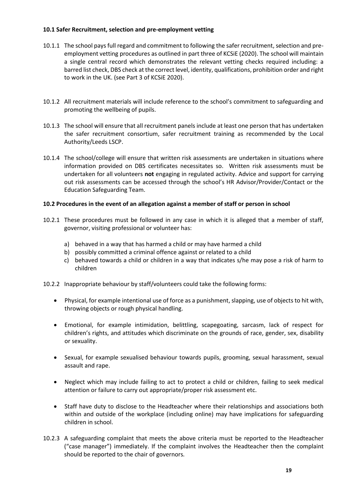#### **10.1 Safer Recruitment, selection and pre-employment vetting**

- 10.1.1 The school pays full regard and commitment to following the safer recruitment, selection and preemployment vetting procedures as outlined in part three of KCSiE (2020). The school will maintain a single central record which demonstrates the relevant vetting checks required including: a barred list check, DBS check at the correct level, identity, qualifications, prohibition order and right to work in the UK. (see Part 3 of KCSiE 2020).
- 10.1.2 All recruitment materials will include reference to the school's commitment to safeguarding and promoting the wellbeing of pupils.
- 10.1.3 The school will ensure that all recruitment panels include at least one person that has undertaken the safer recruitment consortium, safer recruitment training as recommended by the Local Authority/Leeds LSCP.
- 10.1.4 The school/college will ensure that written risk assessments are undertaken in situations where information provided on DBS certificates necessitates so. Written risk assessments must be undertaken for all volunteers **not** engaging in regulated activity. Advice and support for carrying out risk assessments can be accessed through the school's HR Advisor/Provider/Contact or the Education Safeguarding Team.

#### **10.2 Procedures in the event of an allegation against a member of staff or person in school**

- 10.2.1 These procedures must be followed in any case in which it is alleged that a member of staff, governor, visiting professional or volunteer has:
	- a) behaved in a way that has harmed a child or may have harmed a child
	- b) possibly committed a criminal offence against or related to a child
	- c) behaved towards a child or children in a way that indicates s/he may pose a risk of harm to children
- 10.2.2 Inappropriate behaviour by staff/volunteers could take the following forms:
	- Physical, for example intentional use of force as a punishment, slapping, use of objects to hit with, throwing objects or rough physical handling.
	- Emotional, for example intimidation, belittling, scapegoating, sarcasm, lack of respect for children's rights, and attitudes which discriminate on the grounds of race, gender, sex, disability or sexuality.
	- Sexual, for example sexualised behaviour towards pupils, grooming, sexual harassment, sexual assault and rape.
	- Neglect which may include failing to act to protect a child or children, failing to seek medical attention or failure to carry out appropriate/proper risk assessment etc.
	- Staff have duty to disclose to the Headteacher where their relationships and associations both within and outside of the workplace (including online) may have implications for safeguarding children in school.
- 10.2.3 A safeguarding complaint that meets the above criteria must be reported to the Headteacher ("case manager") immediately. If the complaint involves the Headteacher then the complaint should be reported to the chair of governors*.*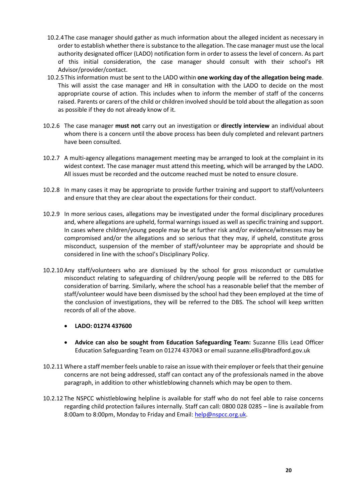- 10.2.4The case manager should gather as much information about the alleged incident as necessary in order to establish whether there is substance to the allegation. The case manager must use the local authority designated officer (LADO) notification form in order to assess the level of concern. As part of this initial consideration, the case manager should consult with their school's HR Advisor/provider/contact.
- 10.2.5This information must be sent t[o the](mailto:lado@leeds.gov.uk) LADO within **one working day of the allegation being made**. This will assist the case manager and HR in consultation with the LADO to decide on the most appropriate course of action. This includes when to inform the member of staff of the concerns raised. Parents or carers of the child or children involved should be told about the allegation as soon as possible if they do not already know of it.
- 10.2.6 The case manager **must not** carry out an investigation or **directly interview** an individual about whom there is a concern until the above process has been duly completed and relevant partners have been consulted.
- 10.2.7 A multi-agency allegations management meeting may be arranged to look at the complaint in its widest context. The case manager must attend this meeting, which will be arranged by the LADO. All issues must be recorded and the outcome reached must be noted to ensure closure.
- 10.2.8 In many cases it may be appropriate to provide further training and support to staff/volunteers and ensure that they are clear about the expectations for their conduct.
- 10.2.9 In more serious cases, allegations may be investigated under the formal disciplinary procedures and, where allegations are upheld, formal warnings issued as well as specific training and support. In cases where children/young people may be at further risk and/or evidence/witnesses may be compromised and/or the allegations and so serious that they may, if upheld, constitute gross misconduct, suspension of the member of staff/volunteer may be appropriate and should be considered in line with the school's Disciplinary Policy.
- 10.2.10 Any staff/volunteers who are dismissed by the school for gross misconduct or cumulative misconduct relating to safeguarding of children/young people will be referred to the DBS for consideration of barring. Similarly, where the school has a reasonable belief that the member of staff/volunteer would have been dismissed by the school had they been employed at the time of the conclusion of investigations, they will be referred to the DBS. The school will keep written records of all of the above.
	- **LADO: 01274 437600**
	- **Advice can also be sought from Education Safeguarding Team:** Suzanne Ellis Lead Officer Education Safeguarding Team on 01274 437043 or email suzanne.ellis@bradford.gov.uk
- 10.2.11 Where a staff member feels unable to raise an issue with their employer or feels that their genuine concerns are not being addressed, staff can contact any of the professionals named in the above paragraph, in addition to other whistleblowing channels which may be open to them.
- 10.2.12 The NSPCC whistleblowing helpline is available for staff who do not feel able to raise concerns regarding child protection failures internally. Staff can call: 0800 028 0285 – line is available from 8:00am to 8:00pm, Monday to Friday and Email[: help@nspcc.org.uk.](mailto:help@nspcc.org.uk)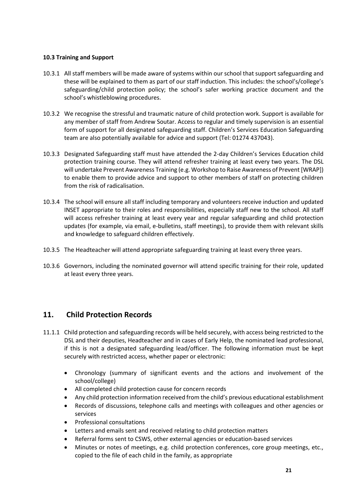#### **10.3 Training and Support**

- 10.3.1 All staff members will be made aware of systems within our school that support safeguarding and these will be explained to them as part of our staff induction. This includes: the school's/college's safeguarding/child protection policy; the school's safer working practice document and the school's whistleblowing procedures.
- 10.3.2 We recognise the stressful and traumatic nature of child protection work. Support is available for any member of staff from Andrew Soutar. Access to regular and timely supervision is an essential form of support for all designated safeguarding staff. Children's Services Education Safeguarding team are also potentially available for advice and support (Tel: 01274 437043).
- 10.3.3 Designated Safeguarding staff must have attended the 2-day Children's Services Education child protection training course. They will attend refresher training at least every two years. The DSL will undertake Prevent Awareness Training (e.g. Workshop to Raise Awareness of Prevent [WRAP]) to enable them to provide advice and support to other members of staff on protecting children from the risk of radicalisation.
- 10.3.4 The school will ensure all staff including temporary and volunteers receive induction and updated INSET appropriate to their roles and responsibilities, especially staff new to the school. All staff will access refresher training at least every year and regular safeguarding and child protection updates (for example, via email, e-bulletins, staff meetings), to provide them with relevant skills and knowledge to safeguard children effectively.
- 10.3.5 The Headteacher will attend appropriate safeguarding training at least every three years.
- 10.3.6 Governors, including the nominated governor will attend specific training for their role, updated at least every three years.

## <span id="page-20-0"></span>**11. Child Protection Records**

- 11.1.1 Child protection and safeguarding records will be held securely, with access being restricted to the DSL and their deputies, Headteacher and in cases of Early Help, the nominated lead professional, if this is not a designated safeguarding lead/officer. The following information must be kept securely with restricted access, whether paper or electronic:
	- Chronology (summary of significant events and the actions and involvement of the school/college)
	- All completed child protection cause for concern records
	- Any child protection information received from the child's previous educational establishment
	- Records of discussions, telephone calls and meetings with colleagues and other agencies or services
	- Professional consultations
	- Letters and emails sent and received relating to child protection matters
	- Referral forms sent to CSWS, other external agencies or education-based services
	- Minutes or notes of meetings, e.g. child protection conferences, core group meetings, etc., copied to the file of each child in the family, as appropriate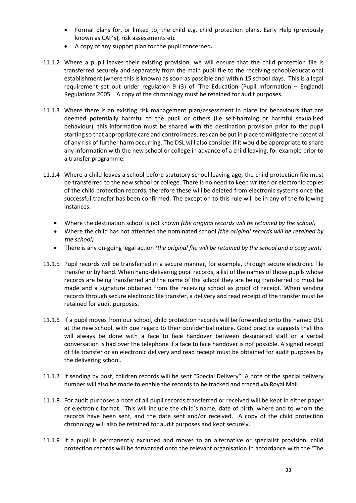- Formal plans for, or linked to, the child e.g. child protection plans, Early Help (previously known as CAF's), risk assessments etc
- A copy of any support plan for the pupil concerned**.**
- 11.1.2 Where a pupil leaves their existing provision, we will ensure that the child protection file is transferred securely and separately from the main pupil file to the receiving school/educational establishment (where this is known) as soon as possible and within 15 school days. This is a legal requirement set out under regulation 9 (3) of 'The Education (Pupil Information – England) Regulations 2005. A copy of the chronology must be retained for audit purposes.
- 11.1.3 Where there is an existing risk management plan/assessment in place for behaviours that are deemed potentially harmful to the pupil or others (i.e self-harming or harmful sexualised behaviour), this information must be shared with the destination provision prior to the pupil starting so that appropriate care and control measures can be put in place to mitigate the potential of any risk of further harm occurring. The DSL will also consider if it would be appropriate to share any information with the new school or college in advance of a child leaving, for example prior to a transfer programme.
- 11.1.4 Where a child leaves a school before statutory school leaving age, the child protection file must be transferred to the new school or college. There is no need to keep written or electronic copies of the child protection records, therefore these will be deleted from electronic systems once the successful transfer has been confirmed. The exception to this rule will be in any of the following instances:
	- Where the destination school is not known *(the original records will be retained by the school)*
	- Where the child has not attended the nominated school *(the original records will be retained by the school)*
	- There is any on-going legal action *(the original file will be retained by the school and a copy sent)*
- 11.1.5 Pupil records will be transferred in a secure manner, for example, through secure electronic file transfer or by hand. When hand-delivering pupil records, a list of the names of those pupils whose records are being transferred and the name of the school they are being transferred to must be made and a signature obtained from the receiving school as proof of receipt. When sending records through secure electronic file transfer, a delivery and read receipt of the transfer must be retained for audit purposes.
- 11.1.6 If a pupil moves from our school, child protection records will be forwarded onto the named DSL at the new school, with due regard to their confidential nature. Good practice suggests that this will always be done with a face to face handover between designated staff or a verbal conversation is had over the telephone if a face to face handover is not possible. A signed receipt of file transfer or an electronic delivery and read receipt must be obtained for audit purposes by the delivering school.
- 11.1.7 If sending by post, children records will be sent "Special Delivery". A note of the special delivery number will also be made to enable the records to be tracked and traced via Royal Mail.
- 11.1.8 For audit purposes a note of all pupil records transferred or received will be kept in either paper or electronic format. This will include the child's name, date of birth, where and to whom the records have been sent, and the date sent and/or received. A copy of the child protection chronology will also be retained for audit purposes and kept securely.
- 11.1.9 If a pupil is permanently excluded and moves to an alternative or specialist provision, child protection records will be forwarded onto the relevant organisation in accordance with the 'The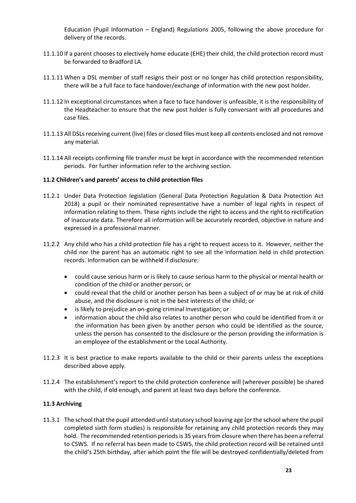Education (Pupil Information – England) Regulations 2005, following the above procedure for delivery of the records.

- 11.1.10 If a parent chooses to electively home educate (EHE) their child, the child protection record must be forwarded to Bradford LA.
- 11.1.11 When a DSL member of staff resigns their post or no longer has child protection responsibility, there will be a full face to face handover/exchange of information with the new post holder.
- 11.1.12 In exceptional circumstances when a face to face handover is unfeasible, it is the responsibility of the Headteacher to ensure that the new post holder is fully conversant with all procedures and case files.
- 11.1.13 All DSLs receiving current (live) files or closed files must keep all contents enclosed and not remove any material.
- 11.1.14 All receipts confirming file transfer must be kept in accordance with the recommended retention periods. For further information refer to the archiving section.

#### **11.2 Children's and parents' access to child protection files**

- 11.2.1 Under Data Protection legislation (General Data Protection Regulation & Data Protection Act 2018) a pupil or their nominated representative have a number of legal rights in respect of information relating to them. These rights include the right to access and the right to rectification of inaccurate data. Therefore all information will be accurately recorded, objective in nature and expressed in a professional manner.
- 11.2.2 Any child who has a child protection file has a right to request access to it. However, neither the child nor the parent has an automatic right to see all the information held in child protection records. Information can be withheld if disclosure:
	- could cause serious harm or is likely to cause serious harm to the physical or mental health or condition of the child or another person; or
	- could reveal that the child or another person has been a subject of or may be at risk of child abuse, and the disclosure is not in the best interests of the child; or
	- is likely to prejudice an on-going criminal investigation; or
	- information about the child also relates to another person who could be identified from it or the information has been given by another person who could be identified as the source, unless the person has consented to the disclosure or the person providing the information is an employee of the establishment or the Local Authority.
- 11.2.3 It is best practice to make reports available to the child or their parents unless the exceptions described above apply.
- 11.2.4 The establishment's report to the child protection conference will (wherever possible) be shared with the child, if old enough, and parent at least two days before the conference.

#### **11.3 Archiving**

11.3.1 The school that the pupil attended until statutory school leaving age (or the school where the pupil completed sixth form studies) is responsible for retaining any child protection records they may hold. The recommended retention periods is 35 years from closure when there has been a referral to CSWS. If no referral has been made to CSWS, the child protection record will be retained until the child's 25th birthday, after which point the file will be destroyed confidentially/deleted from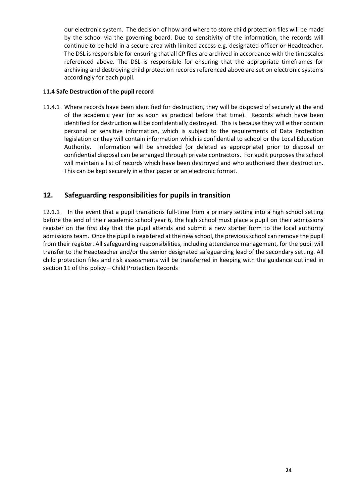our electronic system. The decision of how and where to store child protection files will be made by the school via the governing board. Due to sensitivity of the information, the records will continue to be held in a secure area with limited access e.g. designated officer or Headteacher. The DSL is responsible for ensuring that all CP files are archived in accordance with the timescales referenced above. The DSL is responsible for ensuring that the appropriate timeframes for archiving and destroying child protection records referenced above are set on electronic systems accordingly for each pupil.

#### **11.4 Safe Destruction of the pupil record**

11.4.1 Where records have been identified for destruction, they will be disposed of securely at the end of the academic year (or as soon as practical before that time). Records which have been identified for destruction will be confidentially destroyed. This is because they will either contain personal or sensitive information, which is subject to the requirements of Data Protection legislation or they will contain information which is confidential to school or the Local Education Authority. Information will be shredded (or deleted as appropriate) prior to disposal or confidential disposal can be arranged through private contractors. For audit purposes the school will maintain a list of records which have been destroyed and who authorised their destruction. This can be kept securely in either paper or an electronic format.

#### <span id="page-23-0"></span>**12. Safeguarding responsibilities for pupils in transition**

12.1.1 In the event that a pupil transitions full-time from a primary setting into a high school setting before the end of their academic school year 6, the high school must place a pupil on their admissions register on the first day that the pupil attends and submit a new starter form to the local authority admissions team. Once the pupil is registered at the new school, the previous school can remove the pupil from their register. All safeguarding responsibilities, including attendance management, for the pupil will transfer to the Headteacher and/or the senior designated safeguarding lead of the secondary setting. All child protection files and risk assessments will be transferred in keeping with the guidance outlined in section 11 of this policy – Child Protection Records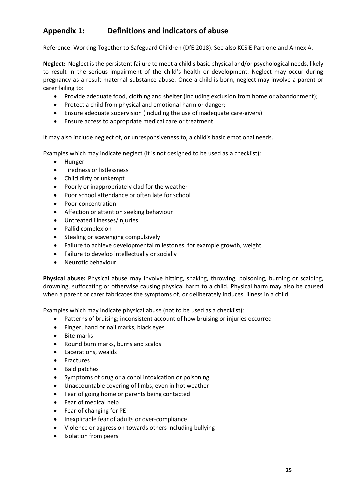## <span id="page-24-0"></span>**Appendix 1: Definitions and indicators of abuse**

Reference: Working Together to Safeguard Children (DfE 2018). See also KCSiE Part one and Annex A.

**Neglect:** Neglect is the persistent failure to meet a child's basic physical and/or psychological needs, likely to result in the serious impairment of the child's health or development. Neglect may occur during pregnancy as a result maternal substance abuse. Once a child is born, neglect may involve a parent or carer failing to:

- Provide adequate food, clothing and shelter (including exclusion from home or abandonment);
- Protect a child from physical and emotional harm or danger;
- Ensure adequate supervision (including the use of inadequate care-givers)
- Ensure access to appropriate medical care or treatment

It may also include neglect of, or unresponsiveness to, a child's basic emotional needs.

Examples which may indicate neglect (it is not designed to be used as a checklist):

- Hunger
- Tiredness or listlessness
- Child dirty or unkempt
- Poorly or inappropriately clad for the weather
- Poor school attendance or often late for school
- Poor concentration
- Affection or attention seeking behaviour
- Untreated illnesses/injuries
- Pallid complexion
- Stealing or scavenging compulsively
- Failure to achieve developmental milestones, for example growth, weight
- Failure to develop intellectually or socially
- Neurotic behaviour

**Physical abuse:** Physical abuse may involve hitting, shaking, throwing, poisoning, burning or scalding, drowning, suffocating or otherwise causing physical harm to a child. Physical harm may also be caused when a parent or carer fabricates the symptoms of, or deliberately induces, illness in a child.

Examples which may indicate physical abuse (not to be used as a checklist):

- Patterns of bruising; inconsistent account of how bruising or injuries occurred
- Finger, hand or nail marks, black eyes
- Bite marks
- Round burn marks, burns and scalds
- Lacerations, wealds
- Fractures
- Bald patches
- Symptoms of drug or alcohol intoxication or poisoning
- Unaccountable covering of limbs, even in hot weather
- Fear of going home or parents being contacted
- Fear of medical help
- Fear of changing for PE
- Inexplicable fear of adults or over-compliance
- Violence or aggression towards others including bullying
- Isolation from peers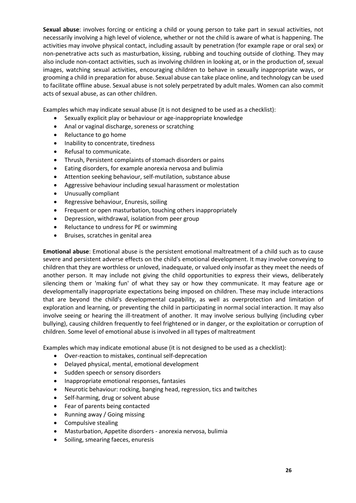**Sexual abuse**: involves forcing or enticing a child or young person to take part in sexual activities, not necessarily involving a high level of violence, whether or not the child is aware of what is happening. The activities may involve physical contact, including assault by penetration (for example rape or oral sex) or non-penetrative acts such as masturbation, kissing, rubbing and touching outside of clothing. They may also include non-contact activities, such as involving children in looking at, or in the production of, sexual images, watching sexual activities, encouraging children to behave in sexually inappropriate ways, or grooming a child in preparation for abuse. Sexual abuse can take place online, and technology can be used to facilitate offline abuse. Sexual abuse is not solely perpetrated by adult males. Women can also commit acts of sexual abuse, as can other children.

Examples which may indicate sexual abuse (it is not designed to be used as a checklist):

- Sexually explicit play or behaviour or age-inappropriate knowledge
- Anal or vaginal discharge, soreness or scratching
- Reluctance to go home
- Inability to concentrate, tiredness
- Refusal to communicate.
- Thrush, Persistent complaints of stomach disorders or pains
- Eating disorders, for example anorexia nervosa and bulimia
- Attention seeking behaviour, self-mutilation, substance abuse
- Aggressive behaviour including sexual harassment or molestation
- Unusually compliant
- Regressive behaviour, Enuresis, soiling
- Frequent or open masturbation, touching others inappropriately
- Depression, withdrawal, isolation from peer group
- Reluctance to undress for PE or swimming
- Bruises, scratches in genital area

**Emotional abuse**: Emotional abuse is the persistent emotional maltreatment of a child such as to cause severe and persistent adverse effects on the child's emotional development. It may involve conveying to children that they are worthless or unloved, inadequate, or valued only insofar as they meet the needs of another person. It may include not giving the child opportunities to express their views, deliberately silencing them or 'making fun' of what they say or how they communicate. It may feature age or developmentally inappropriate expectations being imposed on children. These may include interactions that are beyond the child's developmental capability, as well as overprotection and limitation of exploration and learning, or preventing the child in participating in normal social interaction. It may also involve seeing or hearing the ill-treatment of another. It may involve serious bullying (including cyber bullying), causing children frequently to feel frightened or in danger, or the exploitation or corruption of children. Some level of emotional abuse is involved in all types of maltreatment

Examples which may indicate emotional abuse (it is not designed to be used as a checklist):

- Over-reaction to mistakes, continual self-deprecation
- Delayed physical, mental, emotional development
- Sudden speech or sensory disorders
- Inappropriate emotional responses, fantasies
- Neurotic behaviour: rocking, banging head, regression, tics and twitches
- Self-harming, drug or solvent abuse
- Fear of parents being contacted
- Running away / Going missing
- Compulsive stealing
- Masturbation, Appetite disorders anorexia nervosa, bulimia
- Soiling, smearing faeces, enuresis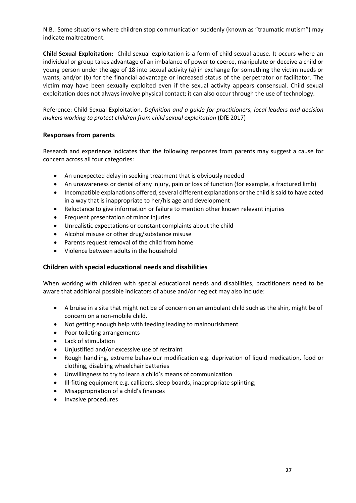N.B.: Some situations where children stop communication suddenly (known as "traumatic mutism") may indicate maltreatment.

**Child Sexual Exploitation:** Child sexual exploitation is a form of child sexual abuse. It occurs where an individual or group takes advantage of an imbalance of power to coerce, manipulate or deceive a child or young person under the age of 18 into sexual activity (a) in exchange for something the victim needs or wants, and/or (b) for the financial advantage or increased status of the perpetrator or facilitator. The victim may have been sexually exploited even if the sexual activity appears consensual. Child sexual exploitation does not always involve physical contact; it can also occur through the use of technology.

Reference: Child Sexual Exploitation. *Definition and a guide for practitioners, local leaders and decision makers working to protect children from child sexual exploitation* (DfE 2017)

#### **Responses from parents**

Research and experience indicates that the following responses from parents may suggest a cause for concern across all four categories:

- An unexpected delay in seeking treatment that is obviously needed
- An unawareness or denial of any injury, pain or loss of function (for example, a fractured limb)
- Incompatible explanations offered, several different explanations or the child is said to have acted in a way that is inappropriate to her/his age and development
- Reluctance to give information or failure to mention other known relevant injuries
- Frequent presentation of minor injuries
- Unrealistic expectations or constant complaints about the child
- Alcohol misuse or other drug/substance misuse
- Parents request removal of the child from home
- Violence between adults in the household

#### **Children with special educational needs and disabilities**

When working with children with special educational needs and disabilities, practitioners need to be aware that additional possible indicators of abuse and/or neglect may also include:

- A bruise in a site that might not be of concern on an ambulant child such as the shin, might be of concern on a non-mobile child.
- Not getting enough help with feeding leading to malnourishment
- Poor toileting arrangements
- Lack of stimulation
- Unjustified and/or excessive use of restraint
- Rough handling, extreme behaviour modification e.g. deprivation of liquid medication, food or clothing, disabling wheelchair batteries
- Unwillingness to try to learn a child's means of communication
- Ill-fitting equipment e.g. callipers, sleep boards, inappropriate splinting;
- Misappropriation of a child's finances
- Invasive procedures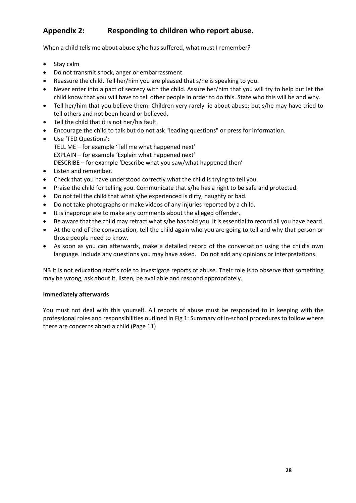## <span id="page-27-0"></span>**Appendix 2: Responding to children who report abuse.**

When a child tells me about abuse s/he has suffered, what must I remember?

- Stay calm
- Do not transmit shock, anger or embarrassment.
- Reassure the child. Tell her/him you are pleased that s/he is speaking to you.
- Never enter into a pact of secrecy with the child. Assure her/him that you will try to help but let the child know that you will have to tell other people in order to do this. State who this will be and why.
- Tell her/him that you believe them. Children very rarely lie about abuse; but s/he may have tried to tell others and not been heard or believed.
- Tell the child that it is not her/his fault.
- Encourage the child to talk but do not ask "leading questions" or press for information.
- Use 'TED Questions': TELL ME – for example 'Tell me what happened next' EXPLAIN – for example 'Explain what happened next' DESCRIBE – for example 'Describe what you saw/what happened then'
- Listen and remember.
- Check that you have understood correctly what the child is trying to tell you.
- Praise the child for telling you. Communicate that s/he has a right to be safe and protected.
- Do not tell the child that what s/he experienced is dirty, naughty or bad.
- Do not take photographs or make videos of any injuries reported by a child.
- It is inappropriate to make any comments about the alleged offender.
- Be aware that the child may retract what s/he has told you. It is essential to record all you have heard.
- At the end of the conversation, tell the child again who you are going to tell and why that person or those people need to know.
- As soon as you can afterwards, make a detailed record of the conversation using the child's own language. Include any questions you may have asked. Do not add any opinions or interpretations.

NB It is not education staff's role to investigate reports of abuse. Their role is to observe that something may be wrong, ask about it, listen, be available and respond appropriately.

#### **Immediately afterwards**

You must not deal with this yourself. All reports of abuse must be responded to in keeping with the professional roles and responsibilities outlined i[n Fig 1: Summary of in-school procedures to follow where](#page-10-0)  [there are concerns about a child \(](#page-10-0)Page [11\)](#page-10-0)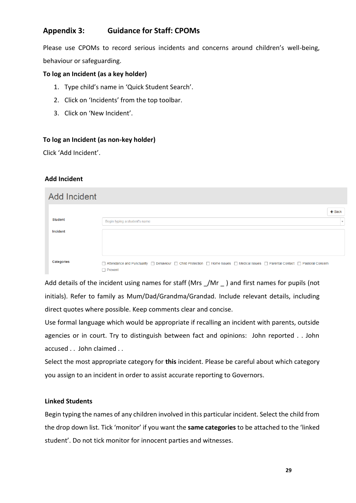## <span id="page-28-0"></span>**Appendix 3: Guidance for Staff: CPOMs**

Please use CPOMs to record serious incidents and concerns around children's well-being, behaviour or safeguarding.

#### **To log an Incident (as a key holder)**

- 1. Type child's name in 'Quick Student Search'.
- 2. Click on 'Incidents' from the top toolbar.
- 3. Click on 'New Incident'.

#### **To log an Incident (as non-key holder)**

Click 'Add Incident'.

#### **Add Incident**

| <b>Add Incident</b> |                                                                                                                                  |
|---------------------|----------------------------------------------------------------------------------------------------------------------------------|
|                     | $\leftarrow$ Back                                                                                                                |
| <b>Student</b>      | Begin typing a student's name<br>$\mathbf{v}$                                                                                    |
| Incident            |                                                                                                                                  |
|                     |                                                                                                                                  |
|                     |                                                                                                                                  |
| <b>Categories</b>   | □ Attendance and Punctuality □ Behaviour □ Child Protection □ Home Issues □ Medical Issues □ Parental Contact □ Pastoral Concern |
|                     | $\Box$ Prevent                                                                                                                   |

Add details of the incident using names for staff (Mrs \_/Mr \_ ) and first names for pupils (not initials). Refer to family as Mum/Dad/Grandma/Grandad. Include relevant details, including direct quotes where possible. Keep comments clear and concise.

Use formal language which would be appropriate if recalling an incident with parents, outside agencies or in court. Try to distinguish between fact and opinions: John reported . . John accused . . John claimed . .

Select the most appropriate category for **this** incident. Please be careful about which category you assign to an incident in order to assist accurate reporting to Governors.

#### **Linked Students**

Begin typing the names of any children involved in this particular incident. Select the child from the drop down list. Tick 'monitor' if you want the **same categories** to be attached to the 'linked student'. Do not tick monitor for innocent parties and witnesses.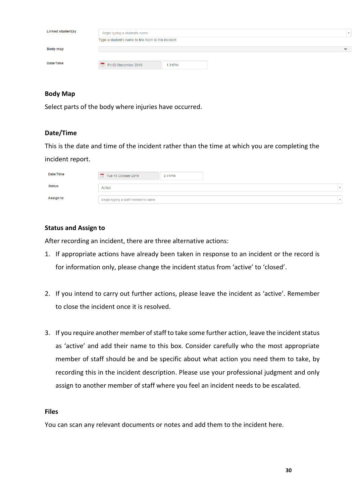| Linked student(s) | Begin typing a students name                         |              |  |  |
|-------------------|------------------------------------------------------|--------------|--|--|
|                   | Type a student's name to link them to this incident. |              |  |  |
| <b>Body map</b>   |                                                      | $\checkmark$ |  |  |
| Date/Time         | Fri 02 December 2016<br>1:31PM                       |              |  |  |

#### **Body Map**

Select parts of the body where injuries have occurred.

#### **Date/Time**

This is the date and time of the incident rather than the time at which you are completing the incident report.

| Date/Time        | Tue 15 October 2019                | 2:41PM |  |
|------------------|------------------------------------|--------|--|
| <b>Status</b>    | Active                             |        |  |
| <b>Assign to</b> | Begin typing a staff member's name |        |  |

#### **Status and Assign to**

After recording an incident, there are three alternative actions:

- 1. If appropriate actions have already been taken in response to an incident or the record is for information only, please change the incident status from 'active' to 'closed'.
- 2. If you intend to carry out further actions, please leave the incident as 'active'. Remember to close the incident once it is resolved.
- 3. If you require another member of staff to take some further action, leave the incident status as 'active' and add their name to this box. Consider carefully who the most appropriate member of staff should be and be specific about what action you need them to take, by recording this in the incident description. Please use your professional judgment and only assign to another member of staff where you feel an incident needs to be escalated.

#### **Files**

You can scan any relevant documents or notes and add them to the incident here.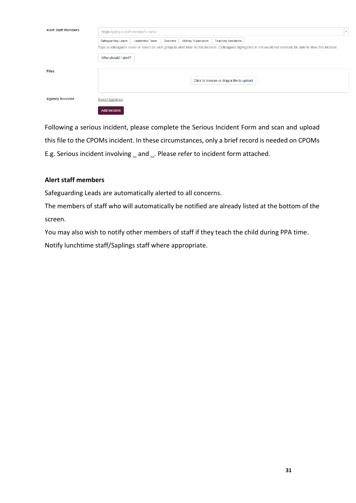| <b>Alert Staff Members</b> | Begin typing a staff member's name |                 |          |                           | $\mathbf{v}$                             |                                                                                                                                                                  |  |
|----------------------------|------------------------------------|-----------------|----------|---------------------------|------------------------------------------|------------------------------------------------------------------------------------------------------------------------------------------------------------------|--|
|                            | Safeguarding Leads                 | Leadership Team | Teachers | <b>Midday Supervisors</b> | <b>Teaching Assistants</b>               |                                                                                                                                                                  |  |
|                            |                                    |                 |          |                           |                                          | Type a colleague's name or select an alert group to alert them to this incident. Colleagues highlighted in red would not normally be able to view this incident. |  |
|                            | Who should I alert?                |                 |          |                           |                                          |                                                                                                                                                                  |  |
|                            |                                    |                 |          |                           |                                          |                                                                                                                                                                  |  |
| <b>Files</b>               |                                    |                 |          |                           |                                          |                                                                                                                                                                  |  |
|                            |                                    |                 |          |                           | Click to browse or drag a file to upload |                                                                                                                                                                  |  |
|                            |                                    |                 |          |                           |                                          |                                                                                                                                                                  |  |
| <b>Agency Involved</b>     | <b>Select Agencies</b>             |                 |          |                           |                                          |                                                                                                                                                                  |  |
|                            | <b>Add Incident</b>                |                 |          |                           |                                          |                                                                                                                                                                  |  |

Following a serious incident, please complete the Serious Incident Form and scan and upload this file to the CPOMs incident. In these circumstances, only a brief record is needed on CPOMs E.g. Serious incident involving and . Please refer to incident form attached.

#### **Alert staff members**

Safeguarding Leads are automatically alerted to all concerns.

The members of staff who will automatically be notified are already listed at the bottom of the screen.

You may also wish to notify other members of staff if they teach the child during PPA time.

<span id="page-30-0"></span>Notify lunchtime staff/Saplings staff where appropriate.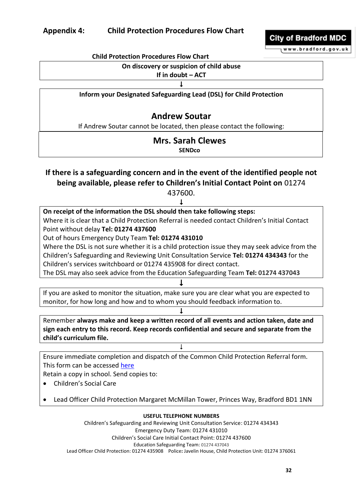

www.bradford.gov.uk

## **On discovery or suspicion of child abuse**

#### **If in doubt – ACT**

 $\downarrow$ 

#### **Inform your Designated Safeguarding Lead (DSL) for Child Protection**

## **Andrew Soutar**

If Andrew Soutar cannot be located, then please contact the following:

#### **Mrs. Sarah Clewes SENDco**

## **If there is a safeguarding concern and in the event of the identified people not being available, please refer to Children's Initial Contact Point on** 01274

437600.

| On receipt of the information the DSL should then take following steps:                         |
|-------------------------------------------------------------------------------------------------|
| Where it is clear that a Child Protection Referral is needed contact Children's Initial Contact |
| Point without delay Tel: 01274 437600                                                           |
| Out of hours Emergency Duty Team Tel: 01274 431010                                              |
| Where the DSL is not sure whether it is a child protection issue they may seek advice from the  |
| Children's Safeguarding and Reviewing Unit Consultation Service Tel: 01274 434343 for the       |
| Children's services switchboard or 01274 435908 for direct contact.                             |
| The DSL may also seek advice from the Education Safeguarding Team Tel: 01274 437043             |
|                                                                                                 |
| If you are asked to monitor the situation, make sure you are clear what you are expected to     |
| monitor, for how long and how and to whom you should feedback information to.                   |
|                                                                                                 |
| Remember always make and keep a written record of all events and action taken, date and         |
| sign each entry to this record. Keep records confidential and secure and separate from the      |
| child's curriculum file.                                                                        |
|                                                                                                 |
| Ensure immediate completion and dispatch of the Common Child Protection Referral form.          |
| This form can be accessed here                                                                  |
| Retain a copy in school. Send copies to:                                                        |
| <b>Children's Social Care</b>                                                                   |
|                                                                                                 |
| Lead Officer Child Protection Margaret McMillan Tower, Princes Way, Bradford BD1 1NN            |
| <b>USEFUL TELEPHONE NUMBERS</b>                                                                 |
| Children's Safeguarding and Reviewing Unit Consultation Service: 01274 434343                   |
| Emergency Duty Team: 01274 431010                                                               |
| Children's Social Care Initial Contact Point: 01274 437600                                      |
| Education Safeguarding Team: 01274 437043                                                       |

Lead Officer Child Protection: 01274 435908 Police**:** Javelin House, Child Protection Unit: 01274 376061